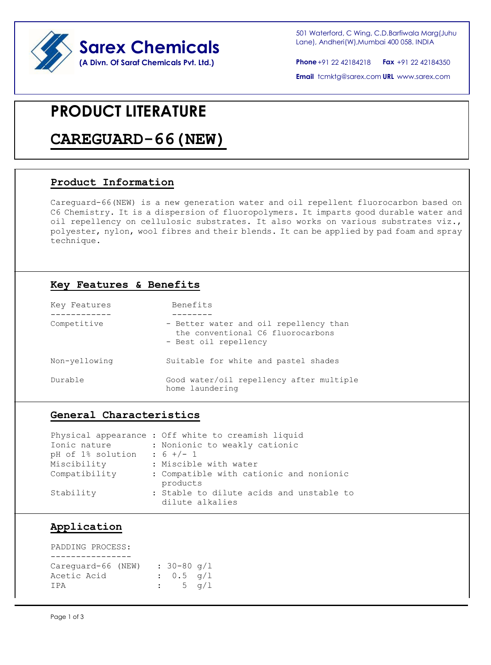

501 Waterford, C Wing, C.D.Barfiwala Marg(Juhu Lane), Andheri(W),Mumbai 400 058. INDIA

+91 22 42184218 **Phone Fax** +91 22 42184350

**Email** tcmktg@sarex.com URL www.sarex.com

# **PRODUCT LITERATURE**

### **CAREGUARD-66(NEW)**

### **Product Information**

Careguard-66(NEW) is a new generation water and oil repellent fluorocarbon based on C6 Chemistry. It is a dispersion of fluoropolymers. It imparts good durable water and oil repellency on cellulosic substrates. It also works on various substrates viz., polyester, nylon, wool fibres and their blends. It can be applied by pad foam and spray technique.

#### **Key Features & Benefits**

| Key Features  | Benefits                                                                                             |
|---------------|------------------------------------------------------------------------------------------------------|
|               |                                                                                                      |
| Competitive   | - Better water and oil repellency than<br>the conventional C6 fluorocarbons<br>- Best oil repellency |
| Non-yellowing | Suitable for white and pastel shades                                                                 |
| Durable       | Good water/oil repellency after multiple<br>home laundering                                          |

### **General Characteristics**

| Ionic nature<br>pH of 1% solution<br>Miscibility | Physical appearance : Off white to creamish liquid<br>: Nonionic to weakly cationic<br>$: 6 +/- 1$<br>: Miscible with water |
|--------------------------------------------------|-----------------------------------------------------------------------------------------------------------------------------|
| Compatibility                                    | : Compatible with cationic and nonionic<br>products                                                                         |
| Stability                                        | : Stable to dilute acids and unstable to<br>dilute alkalies                                                                 |

#### **Application**

PADDING PROCESS: ---------------- Careguard-66 (NEW) : 30-80 g/l Acetic Acid : 0.5 g/l IPA :  $5 \frac{q}{1}$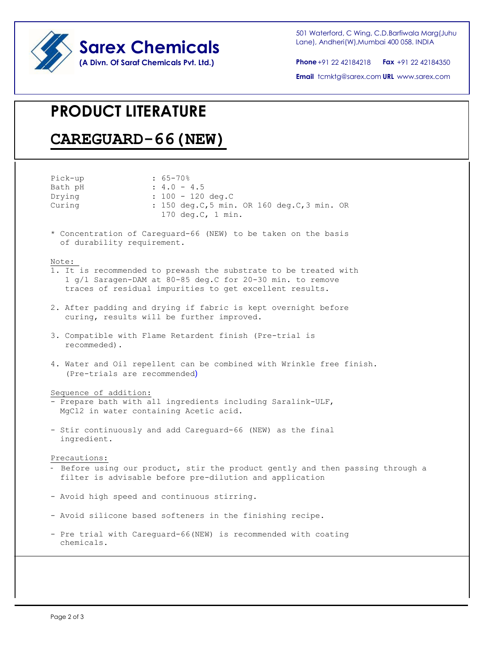

501 Waterford, C Wing, C.D.Barfiwala Marg(Juhu Lane), Andheri(W),Mumbai 400 058. INDIA

+91 22 42184218 **Phone Fax** +91 22 42184350

**Email** tcmktg@sarex.com URL www.sarex.com

# **PRODUCT LITERATURE**

## **CAREGUARD-66(NEW)**

| Pick-up<br>Bath pH<br>Drying<br>Curing                                                                                         | $: 65 - 70$ %<br>$: 4.0 - 4.5$<br>$: 100 - 120 \text{ deg.C}$<br>: 150 deg.C, 5 min. OR 160 deg.C, 3 min. OR<br>170 deg.C, 1 min.                                                        |  |  |  |
|--------------------------------------------------------------------------------------------------------------------------------|------------------------------------------------------------------------------------------------------------------------------------------------------------------------------------------|--|--|--|
| * Concentration of Careguard-66 (NEW) to be taken on the basis<br>of durability requirement.                                   |                                                                                                                                                                                          |  |  |  |
| Note:                                                                                                                          | 1. It is recommended to prewash the substrate to be treated with<br>1 g/l Saragen-DAM at 80-85 deg.C for 20-30 min. to remove<br>traces of residual impurities to get excellent results. |  |  |  |
| 2. After padding and drying if fabric is kept overnight before<br>curing, results will be further improved.                    |                                                                                                                                                                                          |  |  |  |
| 3. Compatible with Flame Retardent finish (Pre-trial is<br>recommeded).                                                        |                                                                                                                                                                                          |  |  |  |
| 4. Water and Oil repellent can be combined with Wrinkle free finish.<br>(Pre-trials are recommended)                           |                                                                                                                                                                                          |  |  |  |
| Sequence of addition:<br>- Prepare bath with all ingredients including Saralink-ULF,<br>MgCl2 in water containing Acetic acid. |                                                                                                                                                                                          |  |  |  |
| - Stir continuously and add Careguard-66 (NEW) as the final<br>ingredient.                                                     |                                                                                                                                                                                          |  |  |  |
| Precautions:                                                                                                                   | - Before using our product, stir the product gently and then passing through a<br>filter is advisable before pre-dilution and application                                                |  |  |  |
| - Avoid high speed and continuous stirring.                                                                                    |                                                                                                                                                                                          |  |  |  |
|                                                                                                                                | - Avoid silicone based softeners in the finishing recipe.                                                                                                                                |  |  |  |
| - Pre trial with Careguard-66 (NEW) is recommended with coating<br>chemicals.                                                  |                                                                                                                                                                                          |  |  |  |
|                                                                                                                                |                                                                                                                                                                                          |  |  |  |